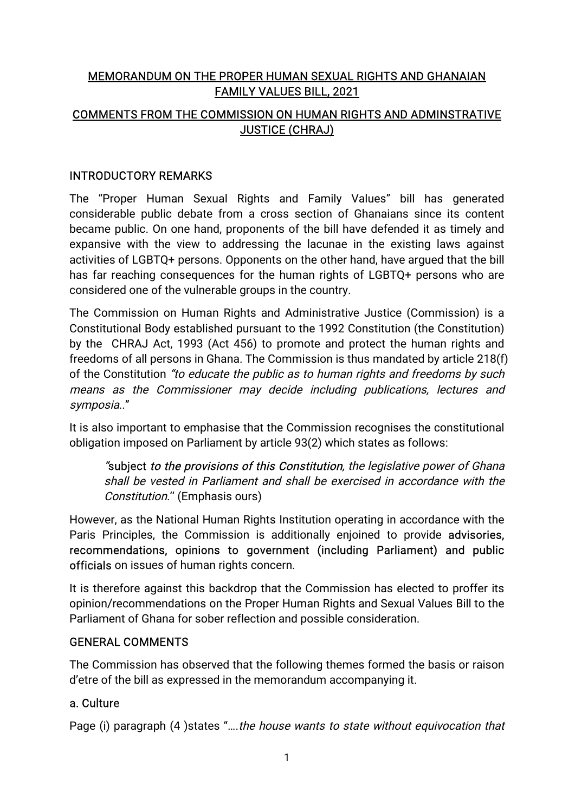# MEMORANDUM ON THE PROPER HUMAN SEXUAL RIGHTS AND GHANAIAN **FAMILY VALUES BILL, 2021** COMMENTS FROM THE COMMISSION ON HUMAN RIGHTS AND ADMINSTRATIVE **JUSTICE (CHRAJ)**

### **INTRODUCTORY REMARKS**

The "Proper Human Sexual Rights and Family Values" bill has generated considerable public debate from a cross section of Ghanaians since its content became public. On one hand, proponents of the bill have defended it as timely and expansive with the view to addressing the lacunae in the existing laws against activities of LGBTQ+ persons. Opponents on the other hand, have arqued that the bill has far reaching consequences for the human rights of LGBTQ+ persons who are considered one of the vulnerable groups in the country.

The Commission on Human Rights and Administrative Justice (Commission) is a Constitutional Body established pursuant to the 1992 Constitution (the Constitution) by the CHRAJ Act, 1993 (Act 456) to promote and protect the human rights and freedoms of all persons in Ghana. The Commission is thus mandated by article 218(f) of the Constitution "to educate the public as to human rights and freedoms by such means as the Commissioner may decide including publications, lectures and symposia.."

It is also important to emphasise that the Commission recognises the constitutional obligation imposed on Parliament by article 93(2) which states as follows:

"subject to the provisions of this Constitution, the legislative power of Ghana shall be vested in Parliament and shall be exercised in accordance with the Constitution." (Emphasis ours)

However, as the National Human Rights Institution operating in accordance with the Paris Principles, the Commission is additionally enjoined to provide advisories. recommendations, opinions to government (including Parliament) and public officials on issues of human rights concern.

It is therefore against this backdrop that the Commission has elected to proffer its opinion/recommendations on the Proper Human Rights and Sexual Values Bill to the Parliament of Ghana for sober reflection and possible consideration.

## **GENERAL COMMENTS**

The Commission has observed that the following themes formed the basis or raison d'etre of the bill as expressed in the memorandum accompanying it.

## a. Culture

Page (i) paragraph (4) states "....the house wants to state without equivocation that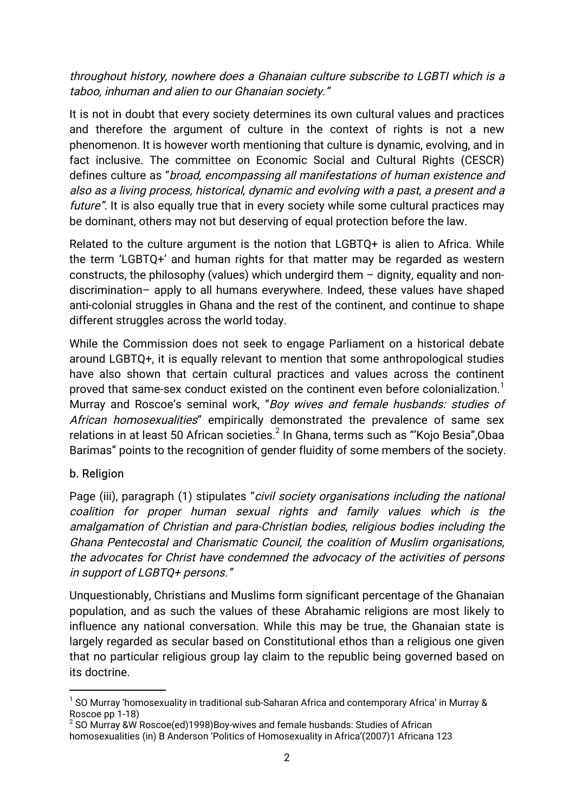throughout history, nowhere does a Ghanaian culture subscribe to LGBTI which is a taboo, inhuman and alien to our Ghanaian society."

It is not in doubt that every society determines its own cultural values and practices and therefore the argument of culture in the context of rights is not a new phenomenon. It is however worth mentioning that culture is dynamic, evolving, and in fact inclusive. The committee on Economic Social and Cultural Rights (CESCR) defines culture as "broad, encompassing all manifestations of human existence and also as a living process, historical, dynamic and evolving with a past, a present and a future". It is also equally true that in every society while some cultural practices may be dominant, others may not but deserving of equal protection before the law.

Related to the culture argument is the notion that LGBTQ+ is alien to Africa. While the term 'LGBTQ+' and human rights for that matter may be regarded as western constructs, the philosophy (values) which undergird them  $-$  dignity, equality and nondiscrimination- apply to all humans everywhere. Indeed, these values have shaped anti-colonial struggles in Ghana and the rest of the continent, and continue to shape different struggles across the world today.

While the Commission does not seek to engage Parliament on a historical debate around LGBTQ+, it is equally relevant to mention that some anthropological studies have also shown that certain cultural practices and values across the continent proved that same-sex conduct existed on the continent even before colonialization.<sup>1</sup> Murray and Roscoe's seminal work, "Boy wives and female husbands: studies of African homosexualities" empirically demonstrated the prevalence of same sex relations in at least 50 African societies.<sup>2</sup> In Ghana, terms such as "'Kojo Besia", Obaa Barimas" points to the recognition of gender fluidity of some members of the society.

## b. Religion

Page (iii), paragraph (1) stipulates "civil society organisations including the national coalition for proper human sexual rights and family values which is the amalgamation of Christian and para-Christian bodies, religious bodies including the Ghana Pentecostal and Charismatic Council, the coalition of Muslim organisations, the advocates for Christ have condemned the advocacy of the activities of persons in support of LGBTQ+ persons."

Unquestionably, Christians and Muslims form significant percentage of the Ghanaian population, and as such the values of these Abrahamic religions are most likely to influence any national conversation. While this may be true, the Ghanaian state is largely regarded as secular based on Constitutional ethos than a religious one given that no particular religious group lay claim to the republic being governed based on its doctrine.

 $^1$  SO Murrav 'homosexuality in traditional sub-Saharan Africa and contemporary Africa' in Murray & Roscoe pp 1-18)

 $^2$  SO Murray &W Roscoe(ed)1998)Bov-wives and female husbands: Studies of African homosexualities (in) B Anderson 'Politics of Homosexuality in Africa'(2007)1 Africana 123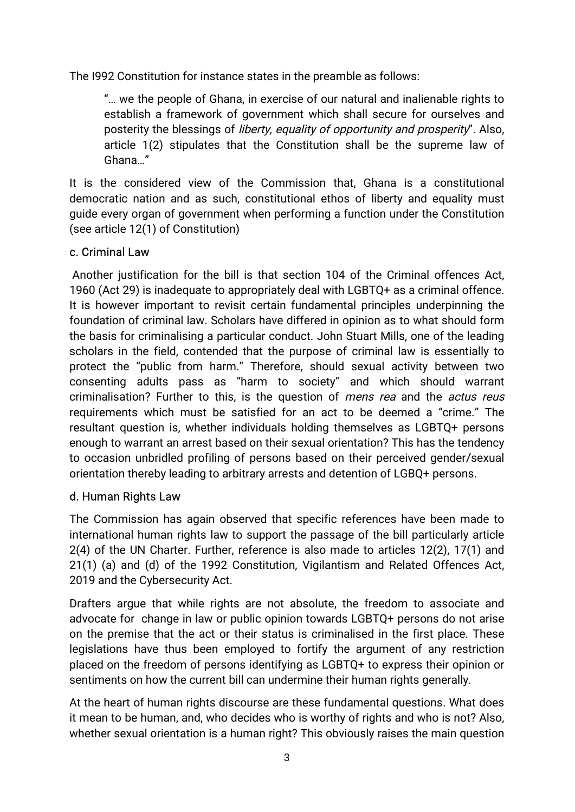The 1992 Constitution for instance states in the preamble as follows:

"... we the people of Ghana, in exercise of our natural and inalienable rights to establish a framework of government which shall secure for ourselves and posterity the blessings of *liberty, equality of opportunity and prosperity*". Also, article 1(2) stipulates that the Constitution shall be the supreme law of Ghana..."

It is the considered view of the Commission that, Ghana is a constitutional democratic nation and as such, constitutional ethos of liberty and equality must guide every organ of government when performing a function under the Constitution (see article 12(1) of Constitution)

## c. Criminal Law

Another justification for the bill is that section 104 of the Criminal offences Act. 1960 (Act 29) is inadequate to appropriately deal with LGBTQ+ as a criminal offence. It is however important to revisit certain fundamental principles underpinning the foundation of criminal law. Scholars have differed in opinion as to what should form the basis for criminalising a particular conduct. John Stuart Mills, one of the leading scholars in the field, contended that the purpose of criminal law is essentially to protect the "public from harm." Therefore, should sexual activity between two consenting adults pass as "harm to society" and which should warrant criminalisation? Further to this, is the question of *mens rea* and the *actus reus* requirements which must be satisfied for an act to be deemed a "crime." The resultant question is, whether individuals holding themselves as LGBTQ+ persons enough to warrant an arrest based on their sexual orientation? This has the tendency to occasion unbridled profiling of persons based on their perceived gender/sexual orientation thereby leading to arbitrary arrests and detention of LGBO+ persons.

## d. Human Rights Law

The Commission has again observed that specific references have been made to international human rights law to support the passage of the bill particularly article 2(4) of the UN Charter. Further, reference is also made to articles 12(2), 17(1) and 21(1) (a) and (d) of the 1992 Constitution, Vigilantism and Related Offences Act, 2019 and the Cybersecurity Act.

Drafters argue that while rights are not absolute, the freedom to associate and advocate for change in law or public opinion towards LGBTO+ persons do not arise on the premise that the act or their status is criminalised in the first place. These legislations have thus been employed to fortify the argument of any restriction placed on the freedom of persons identifying as LGBTQ+ to express their opinion or sentiments on how the current bill can undermine their human rights generally.

At the heart of human rights discourse are these fundamental questions. What does it mean to be human, and, who decides who is worthy of rights and who is not? Also, whether sexual orientation is a human right? This obviously raises the main question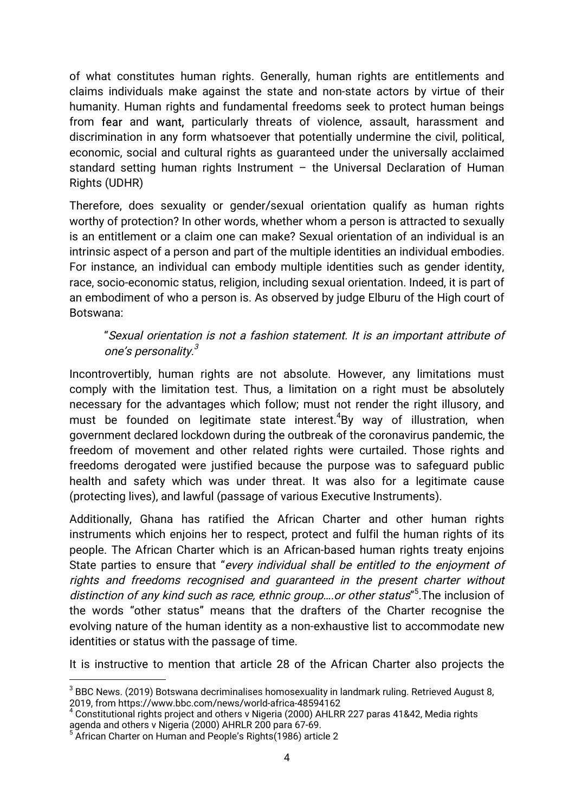of what constitutes human rights. Generally, human rights are entitlements and claims individuals make against the state and non-state actors by virtue of their humanity. Human rights and fundamental freedoms seek to protect human beings from fear and want, particularly threats of violence, assault, harassment and discrimination in any form whatsoever that potentially undermine the civil, political, economic, social and cultural rights as guaranteed under the universally acclaimed standard setting human rights Instrument – the Universal Declaration of Human Rights(UDHR)

Therefore, does sexuality or gender/sexual orientation qualify as human rights worthy of protection? In other words, whether whom a person is attracted to sexually is an entitlement or a claim one can make? Sexual orientation of an individual is an intrinsic aspect of a person and part of the multiple identities an individual embodies. For instance, an individual can embody multiple identities such as gender identity, race, socio-economic status, religion, including sexual orientation. Indeed, it is part of an embodiment of who a person is. As observed by judge Elburu of the High court of Botswana:

#### "Sexual orientation is not a fashion statement. It is an important attribute of one's personality.<sup>3</sup>  $3 \overline{3}$

Incontrovertibly, human rights are not absolute. However, any limitations must comply with the limitation test. Thus, a limitation on a right must be absolutely necessary for the advantages which follow; must not render the right illusory, and must be founded on legitimate state interest.<sup>4</sup>By way of illustration, when government declared lockdown during the outbreak of the coronavirus pandemic, the freedom of movement and other related rights were curtailed. Those rights and freedoms derogated were justified because the purpose was to safeguard public health and safety which was under threat. It was also for a legitimate cause (protecting lives), and lawful (passage of various Executive Instruments).

Additionally, Ghana has ratified the African Charter and other human rights instruments which enjoins her to respect, protect and fulfil the human rights of its people. The African Charter which is an African-based human rights treaty enjoins State parties to ensure that "every individual shall be entitled to the enjoyment of rights and freedoms recognised and guaranteed in the present charter without distinction of any kind such as race, ethnic group....or other status"<sup>5</sup>. The inclusion of the words "other status" means that the drafters of the Charter recognise the evolving nature of the human identity as a non-exhaustive list to accommodate new identities or status with the passage of time.

It is instructive to mention that article 28 of the African Charter also projects the

 $3$  BBC News. (2019) Botswana decriminalises homosexuality in landmark ruling. Retrieved August 8, 2019, from https://www.bbc.com/news/world-africa-48594162

 $4^4$  Constitutional rights project and others v Nigeria (2000) AHLRR 227 paras 41&42, Media rights agenda and others v Nigeria (2000) AHRLR 200 para 67-69.

African Charter on Human and People's Rights(1986) article 2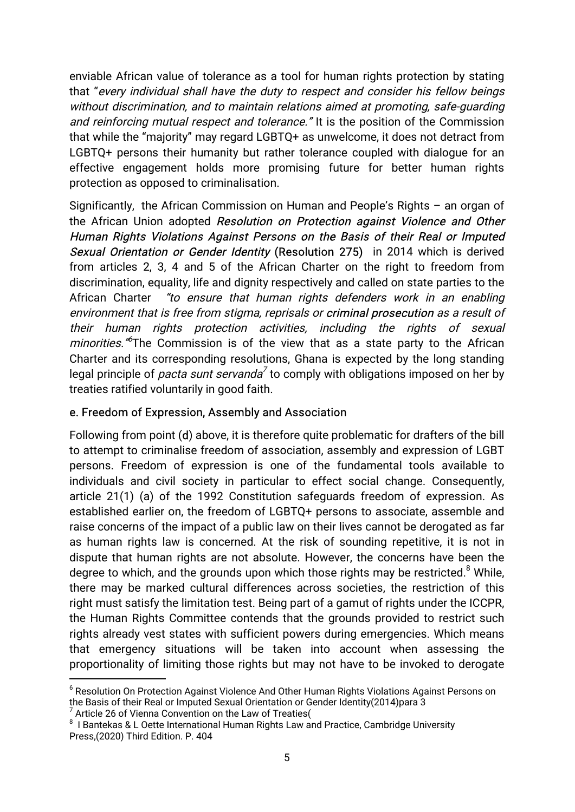enviable African value of tolerance as a tool for human rights protection by stating that "every individual shall have the duty to respect and consider his fellow beings without discrimination, and to maintain relations aimed at promoting, safe-quarding and reinforcing mutual respect and tolerance." It is the position of the Commission that while the "majority" may regard LGBTQ+ as unwelcome, it does not detract from LGBTQ+ persons their humanity but rather tolerance coupled with dialogue for an effective engagement holds more promising future for better human rights protection as opposed to criminalisation.

Significantly, the African Commission on Human and People's Rights - an organ of the African Union adopted Resolution on Protection against Violence and Other Human Rights Violations Against Persons on the Basis of their Real or Imputed Sexual Orientation or Gender Identity (Resolution 275) in 2014 which is derived from articles 2, 3, 4 and 5 of the African Charter on the right to freedom from discrimination, equality, life and dignity respectively and called on state parties to the African Charter "to ensure that human rights defenders work in an enabling environment that is free from stigma, reprisals or criminal prosecution as a result of their human rights protection activities, including the rights of sexual *minorities.* <sup>6</sup>The Commission is of the view that as a state party to the African Charter and its corresponding resolutions, Ghana is expected by the long standing legal principle of *pacta sunt servanda*<sup>7</sup> to comply with obligations imposed on her by treaties ratified voluntarily in good faith.

## e. Freedom of Expression, Assembly and Association

Following from point (d) above, it is therefore quite problematic for drafters of the bill to attempt to criminalise freedom of association, assembly and expression of LGBT persons. Freedom of expression is one of the fundamental tools available to individuals and civil society in particular to effect social change. Consequently, article 21(1) (a) of the 1992 Constitution safeguards freedom of expression. As established earlier on, the freedom of LGBTQ+ persons to associate, assemble and raise concerns of the impact of a public law on their lives cannot be derogated as far as human rights law is concerned. At the risk of sounding repetitive, it is not in dispute that human rights are not absolute. However, the concerns have been the degree to which, and the grounds upon which those rights may be restricted.<sup>8</sup> While, there may be marked cultural differences across societies, the restriction of this right must satisfy the limitation test. Being part of a gamut of rights under the ICCPR. the Human Rights Committee contends that the grounds provided to restrict such rights already vest states with sufficient powers during emergencies. Which means that emergency situations will be taken into account when assessing the proportionality of limiting those rights but may not have to be invoked to derogate

<sup>&</sup>lt;sup>6</sup> Resolution On Protection Against Violence And Other Human Rights Violations Against Persons on the Basis of their Real or Imputed Sexual Orientation or Gender Identity(2014)para 3

Article 26 of Vienna Convention on the Law of Treaties(

 $8$  I Bantekas & L Oette International Human Rights Law and Practice, Cambridge University Press,(2020) Third Edition. P. 404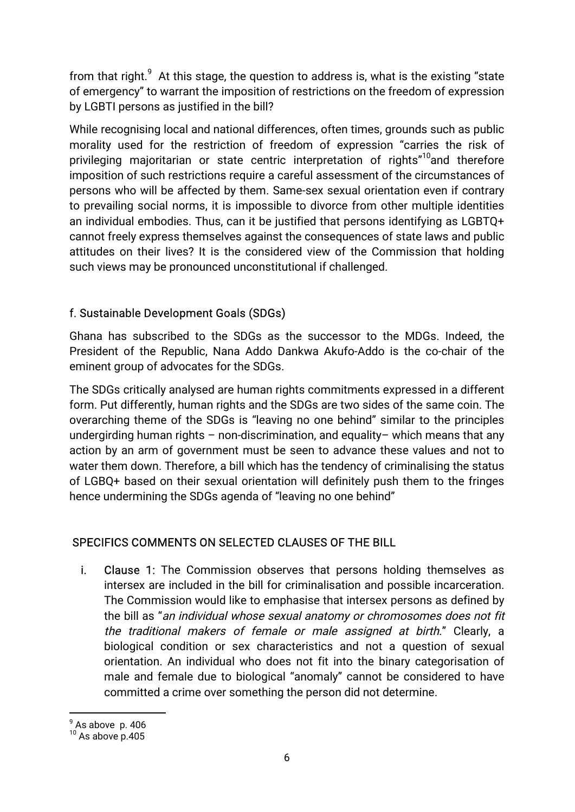from that right.<sup>9</sup> At this stage, the question to address is, what is the existing "state of emergency" to warrant the imposition of restrictions on the freedom of expression by LGBTI persons as justified in the bill?

While recognising local and national differences, often times, grounds such as public morality used for the restriction of freedom of expression "carries the risk of privileging majoritarian or state centric interpretation of rights"<sup>10</sup> and therefore imposition of such restrictions require a careful assessment of the circumstances of persons who will be affected by them. Same-sex sexual orientation even if contrary to prevailing social norms, it is impossible to divorce from other multiple identities an individual embodies. Thus, can it be justified that persons identifying as LGBTQ+ cannot freely express themselves against the consequences of state laws and public attitudes on their lives? It is the considered view of the Commission that holding such views may be pronounced unconstitutional if challenged.

## f. Sustainable Development Goals (SDGs)

Ghana has subscribed to the SDGs as the successor to the MDGs. Indeed, the President of the Republic, Nana Addo Dankwa Akufo-Addo is the co-chair of the eminent group of advocates for the SDGs.

The SDGs critically analysed are human rights commitments expressed in a different form. Put differently, human rights and the SDGs are two sides of the same coin. The overarching theme of the SDGs is "leaving no one behind" similar to the principles undergirding human rights - non-discrimination, and equality- which means that any action by an arm of government must be seen to advance these values and not to water them down. Therefore, a bill which has the tendency of criminalising the status of LGBQ+ based on their sexual orientation will definitely push them to the fringes hence undermining the SDGs agenda of "leaving no one behind"

## SPECIFICS COMMENTS ON SELECTED CLAUSES OF THE BILL

i. **Clause 1:** The Commission observes that persons holding themselves as intersex are included in the bill for criminalisation and possible incarceration. The Commission would like to emphasise that intersex persons as defined by the bill as "an individual whose sexual anatomy or chromosomes does not fit the traditional makers of female or male assigned at birth." Clearly, a biological condition or sex characteristics and not a question of sexual orientation. An individual who does not fit into the binary categorisation of male and female due to biological "anomaly" cannot be considered to have committed a crime over something the person did not determine.

 $\frac{9}{10}$  As above p. 406<br> $\frac{10}{10}$  As above p.405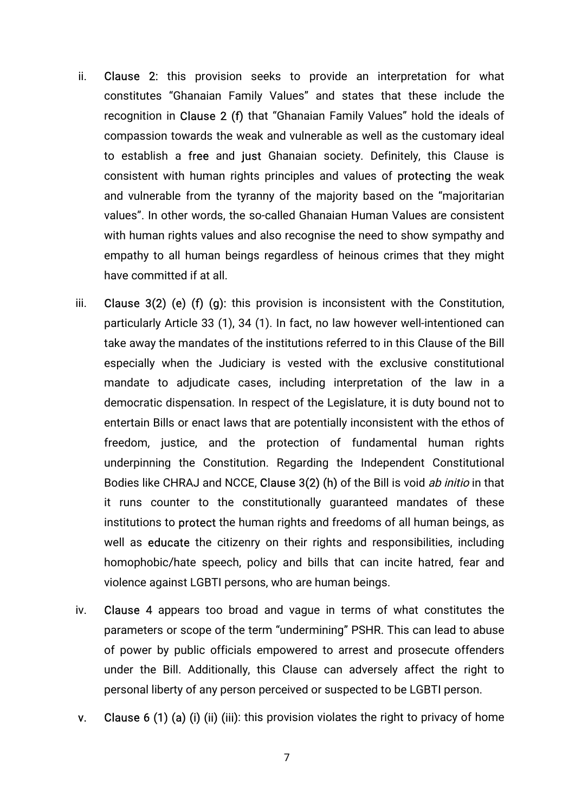- ii. Clause 2: this provision seeks to provide an interpretation for what constitutes "Ghanaian Family Values" and states that these include the recognition in Clause 2 (f) that "Ghanaian Family Values" hold the ideals of compassion towards the weak and vulnerable as well as the customary ideal to establish a free and just Ghanaian society. Definitely, this Clause is consistent with human rights principles and values of **protecting** the weak and vulnerable from the tyranny of the majority based on the "majoritarian values". In other words, the so-called Ghanaian Human Values are consistent with human rights values and also recognise the need to show sympathy and empathy to all human beings regardless of heinous crimes that they might have committed if at all.
- iii. Clause  $3(2)$  (e) (f) (g): this provision is inconsistent with the Constitution, particularly Article 33 (1), 34 (1). In fact, no law however well-intentioned can take away the mandates of the institutions referred to in this Clause of the Bill especially when the Judiciary is vested with the exclusive constitutional mandate to adjudicate cases, including interpretation of the law in a democratic dispensation. In respect of the Legislature, it is duty bound not to entertain Bills or enact laws that are potentially inconsistent with the ethos of freedom, justice, and the protection of fundamental human rights underpinning the Constitution. Regarding the Independent Constitutional Bodies like CHRAJ and NCCE, Clause 3(2) (h) of the Bill is void ab initio in that it runs counter to the constitutionally quaranteed mandates of these institutions to **protect** the human rights and freedoms of all human beings, as well as **educate** the citizenry on their rights and responsibilities, including homophobic/hate speech, policy and bills that can incite hatred, fear and violence against LGBTI persons, who are human beings.
- iv. Clause 4 appears too broad and vague in terms of what constitutes the parameters or scope of the term "undermining" PSHR. This can lead to abuse of power by public officials empowered to arrest and prosecute offenders under the Bill. Additionally, this Clause can adversely affect the right to personal liberty of any person perceived or suspected to be LGBTI person.
- v. Clause 6(1)(a)(i)(iii)(iiii): this provision violates the right to privacy of home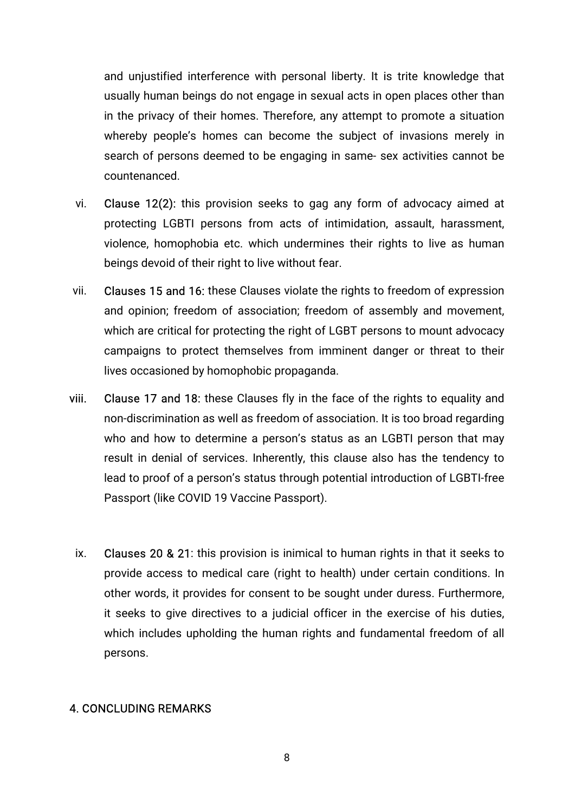and unjustified interference with personal liberty. It is trite knowledge that usually human beings do not engage in sexual acts in open places other than in the privacy of their homes. Therefore, any attempt to promote a situation whereby people's homes can become the subject of invasions merely in search of persons deemed to be engaging in same-sex activities cannot be countenanced.

- vi. **Clause 12(2):** this provision seeks to gag any form of advocacy aimed at protecting LGBTI persons from acts of intimidation, assault, harassment, violence, homophobia etc. which undermines their rights to live as human beings devoid of their right to live without fear.
- vii. Clauses 15 and 16: these Clauses violate the rights to freedom of expression and opinion; freedom of association; freedom of assembly and movement, which are critical for protecting the right of LGBT persons to mount advocacy campaigns to protect themselves from imminent danger or threat to their lives occasioned by homophobic propaganda.
- viii. Clause 17 and 18: these Clauses fly in the face of the rights to equality and non-discrimination as well as freedom of association. It is too broad regarding who and how to determine a person's status as an LGBTI person that may result in denial of services. Inherently, this clause also has the tendency to lead to proof of a person's status through potential introduction of LGBTI-free Passport (like COVID 19 Vaccine Passport).
	- ix. Clauses 20 & 21: this provision is inimical to human rights in that it seeks to provide access to medical care (right to health) under certain conditions. In other words, it provides for consent to be sought under duress. Furthermore, it seeks to give directives to a judicial officer in the exercise of his duties, which includes upholding the human rights and fundamental freedom of all persons.

## 4. CONCLUDING REMARKS